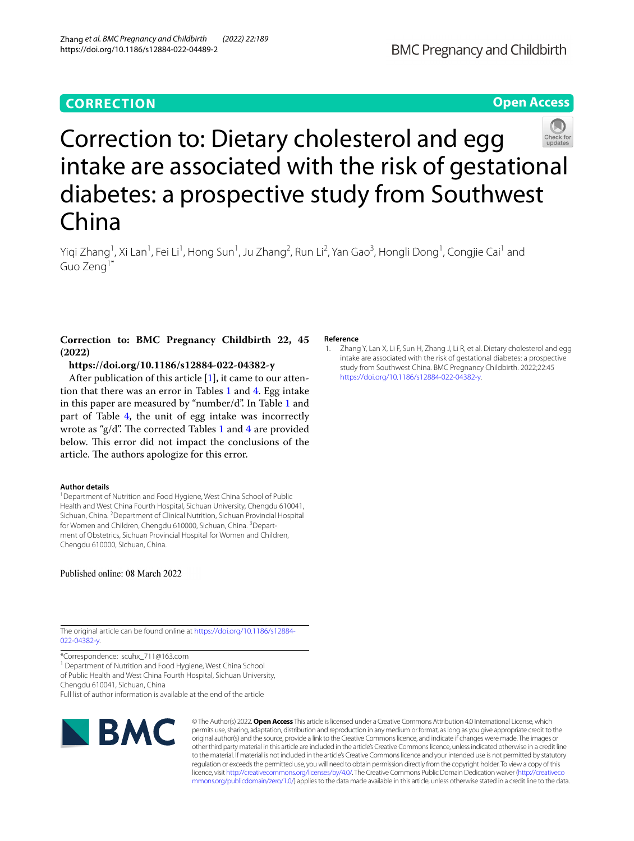# **CORRECTION**

# **Open Access**



# Correction to: Dietary cholesterol and egg intake are associated with the risk of gestational diabetes: a prospective study from Southwest China

Yiqi Zhang<sup>1</sup>, Xi Lan<sup>1</sup>, Fei Li<sup>1</sup>, Hong Sun<sup>1</sup>, Ju Zhang<sup>2</sup>, Run Li<sup>2</sup>, Yan Gao<sup>3</sup>, Hongli Dong<sup>1</sup>, Congjie Cai<sup>1</sup> and Guo Zeng1\*

## **Correction to: BMC Pregnancy Childbirth 22, 45 (2022)**

## **https://doi.org/10.1186/s12884-022-04382-y**

After publication of this article  $[1]$  $[1]$ , it came to our attention that there was an error in Tables [1](#page-1-0) and [4.](#page-2-0) Egg intake in this paper are measured by "number/d". In Table [1](#page-1-0) and part of Table [4,](#page-2-0) the unit of egg intake was incorrectly wrote as "g/d". The corrected Tables [1](#page-1-0) and [4](#page-2-0) are provided below. This error did not impact the conclusions of the article. The authors apologize for this error.

#### **Author details**

<sup>1</sup> Department of Nutrition and Food Hygiene, West China School of Public Health and West China Fourth Hospital, Sichuan University, Chengdu 610041, Sichuan, China. <sup>2</sup> Department of Clinical Nutrition, Sichuan Provincial Hospital for Women and Children, Chengdu 610000, Sichuan, China. <sup>3</sup>Department of Obstetrics, Sichuan Provincial Hospital for Women and Children, Chengdu 610000, Sichuan, China.

Published online: 08 March 2022

#### **Reference**

<span id="page-0-0"></span>1. Zhang Y, Lan X, Li F, Sun H, Zhang J, Li R, et al. Dietary cholesterol and egg intake are associated with the risk of gestational diabetes: a prospective study from Southwest China. BMC Pregnancy Childbirth. 2022;22:45 [https://doi.org/10.1186/s12884-022-04382-y.](https://doi.org/10.1186/s12884-022-04382-y)

The original article can be found online at [https://doi.org/10.1186/s12884-](https://doi.org/10.1186/s12884-022-04382-y) [022-04382-y](https://doi.org/10.1186/s12884-022-04382-y).

\*Correspondence: scuhx\_711@163.com

<sup>1</sup> Department of Nutrition and Food Hygiene, West China School

of Public Health and West China Fourth Hospital, Sichuan University, Chengdu 610041, Sichuan, China

Full list of author information is available at the end of the article



© The Author(s) 2022. **Open Access** This article is licensed under a Creative Commons Attribution 4.0 International License, which permits use, sharing, adaptation, distribution and reproduction in any medium or format, as long as you give appropriate credit to the original author(s) and the source, provide a link to the Creative Commons licence, and indicate if changes were made. The images or other third party material in this article are included in the article's Creative Commons licence, unless indicated otherwise in a credit line to the material. If material is not included in the article's Creative Commons licence and your intended use is not permitted by statutory regulation or exceeds the permitted use, you will need to obtain permission directly from the copyright holder. To view a copy of this licence, visit [http://creativecommons.org/licenses/by/4.0/.](http://creativecommons.org/licenses/by/4.0/) The Creative Commons Public Domain Dedication waiver ([http://creativeco](http://creativecommons.org/publicdomain/zero/1.0/) [mmons.org/publicdomain/zero/1.0/](http://creativecommons.org/publicdomain/zero/1.0/)) applies to the data made available in this article, unless otherwise stated in a credit line to the data.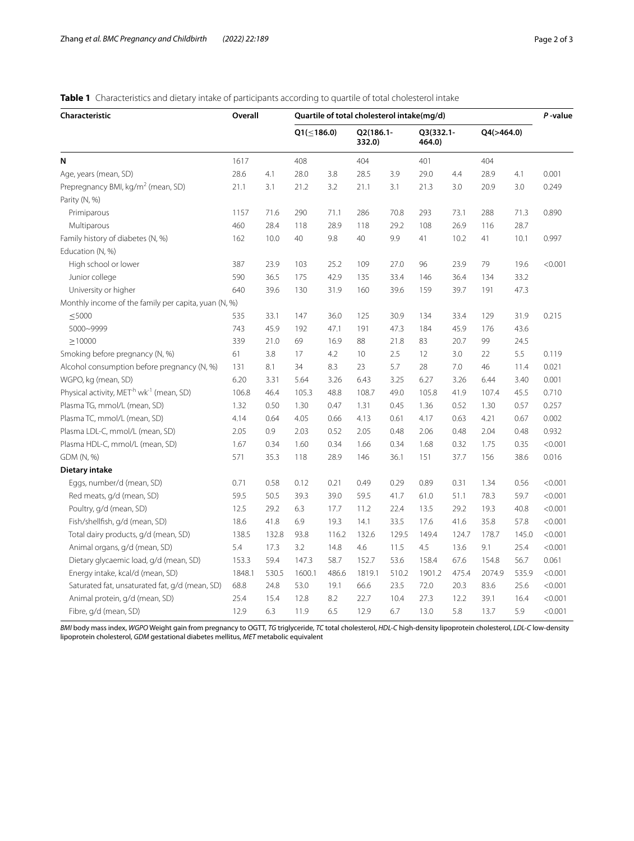## <span id="page-1-0"></span>**Table 1** Characteristics and dietary intake of participants according to quartile of total cholesterol intake

| Characteristic                                                   | Overall |       | Quartile of total cholesterol intake(mg/d) |       |                     |       |                     |       |            |       |         |
|------------------------------------------------------------------|---------|-------|--------------------------------------------|-------|---------------------|-------|---------------------|-------|------------|-------|---------|
|                                                                  |         |       | $Q1(\leq 186.0)$                           |       | Q2(186.1-<br>332.0) |       | Q3(332.1-<br>464.0) |       | Q4(>464.0) |       |         |
| N                                                                | 1617    |       | 408                                        |       | 404                 |       | 401                 |       | 404        |       |         |
| Age, years (mean, SD)                                            | 28.6    | 4.1   | 28.0                                       | 3.8   | 28.5                | 3.9   | 29.0                | 4.4   | 28.9       | 4.1   | 0.001   |
| Prepregnancy BMI, kg/m <sup>2</sup> (mean, SD)                   | 21.1    | 3.1   | 21.2                                       | 3.2   | 21.1                | 3.1   | 21.3                | 3.0   | 20.9       | 3.0   | 0.249   |
| Parity (N, %)                                                    |         |       |                                            |       |                     |       |                     |       |            |       |         |
| Primiparous                                                      | 1157    | 71.6  | 290                                        | 71.1  | 286                 | 70.8  | 293                 | 73.1  | 288        | 71.3  | 0.890   |
| Multiparous                                                      | 460     | 28.4  | 118                                        | 28.9  | 118                 | 29.2  | 108                 | 26.9  | 116        | 28.7  |         |
| Family history of diabetes (N, %)                                | 162     | 10.0  | 40                                         | 9.8   | 40                  | 9.9   | 41                  | 10.2  | 41         | 10.1  | 0.997   |
| Education (N, %)                                                 |         |       |                                            |       |                     |       |                     |       |            |       |         |
| High school or lower                                             | 387     | 23.9  | 103                                        | 25.2  | 109                 | 27.0  | 96                  | 23.9  | 79         | 19.6  | < 0.001 |
| Junior college                                                   | 590     | 36.5  | 175                                        | 42.9  | 135                 | 33.4  | 146                 | 36.4  | 134        | 33.2  |         |
| University or higher                                             | 640     | 39.6  | 130                                        | 31.9  | 160                 | 39.6  | 159                 | 39.7  | 191        | 47.3  |         |
| Monthly income of the family per capita, yuan (N, %)             |         |       |                                            |       |                     |       |                     |       |            |       |         |
| $<$ 5000                                                         | 535     | 33.1  | 147                                        | 36.0  | 125                 | 30.9  | 134                 | 33.4  | 129        | 31.9  | 0.215   |
| 5000~9999                                                        | 743     | 45.9  | 192                                        | 47.1  | 191                 | 47.3  | 184                 | 45.9  | 176        | 43.6  |         |
| >10000                                                           | 339     | 21.0  | 69                                         | 16.9  | 88                  | 21.8  | 83                  | 20.7  | 99         | 24.5  |         |
| Smoking before pregnancy (N, %)                                  | 61      | 3.8   | 17                                         | 4.2   | 10                  | 2.5   | 12                  | 3.0   | 22         | 5.5   | 0.119   |
| Alcohol consumption before pregnancy (N, %)                      | 131     | 8.1   | 34                                         | 8.3   | 23                  | 5.7   | 28                  | 7.0   | 46         | 11.4  | 0.021   |
| WGPO, kg (mean, SD)                                              | 6.20    | 3.31  | 5.64                                       | 3.26  | 6.43                | 3.25  | 6.27                | 3.26  | 6.44       | 3.40  | 0.001   |
| Physical activity, MET <sup>-h</sup> wk <sup>-1</sup> (mean, SD) | 106.8   | 46.4  | 105.3                                      | 48.8  | 108.7               | 49.0  | 105.8               | 41.9  | 107.4      | 45.5  | 0.710   |
| Plasma TG, mmol/L (mean, SD)                                     | 1.32    | 0.50  | 1.30                                       | 0.47  | 1.31                | 0.45  | 1.36                | 0.52  | 1.30       | 0.57  | 0.257   |
| Plasma TC, mmol/L (mean, SD)                                     | 4.14    | 0.64  | 4.05                                       | 0.66  | 4.13                | 0.61  | 4.17                | 0.63  | 4.21       | 0.67  | 0.002   |
| Plasma LDL-C, mmol/L (mean, SD)                                  | 2.05    | 0.9   | 2.03                                       | 0.52  | 2.05                | 0.48  | 2.06                | 0.48  | 2.04       | 0.48  | 0.932   |
| Plasma HDL-C, mmol/L (mean, SD)                                  | 1.67    | 0.34  | 1.60                                       | 0.34  | 1.66                | 0.34  | 1.68                | 0.32  | 1.75       | 0.35  | < 0.001 |
| GDM (N, %)                                                       | 571     | 35.3  | 118                                        | 28.9  | 146                 | 36.1  | 151                 | 37.7  | 156        | 38.6  | 0.016   |
| Dietary intake                                                   |         |       |                                            |       |                     |       |                     |       |            |       |         |
| Eggs, number/d (mean, SD)                                        | 0.71    | 0.58  | 0.12                                       | 0.21  | 0.49                | 0.29  | 0.89                | 0.31  | 1.34       | 0.56  | < 0.001 |
| Red meats, g/d (mean, SD)                                        | 59.5    | 50.5  | 39.3                                       | 39.0  | 59.5                | 41.7  | 61.0                | 51.1  | 78.3       | 59.7  | < 0.001 |
| Poultry, g/d (mean, SD)                                          | 12.5    | 29.2  | 6.3                                        | 17.7  | 11.2                | 22.4  | 13.5                | 29.2  | 19.3       | 40.8  | < 0.001 |
| Fish/shellfish, g/d (mean, SD)                                   | 18.6    | 41.8  | 6.9                                        | 19.3  | 14.1                | 33.5  | 17.6                | 41.6  | 35.8       | 57.8  | < 0.001 |
| Total dairy products, g/d (mean, SD)                             | 138.5   | 132.8 | 93.8                                       | 116.2 | 132.6               | 129.5 | 149.4               | 124.7 | 178.7      | 145.0 | < 0.001 |
| Animal organs, g/d (mean, SD)                                    | 5.4     | 17.3  | 3.2                                        | 14.8  | 4.6                 | 11.5  | 4.5                 | 13.6  | 9.1        | 25.4  | < 0.001 |
| Dietary glycaemic load, g/d (mean, SD)                           | 153.3   | 59.4  | 147.3                                      | 58.7  | 152.7               | 53.6  | 158.4               | 67.6  | 154.8      | 56.7  | 0.061   |
| Energy intake, kcal/d (mean, SD)                                 | 1848.1  | 530.5 | 1600.1                                     | 486.6 | 1819.1              | 510.2 | 1901.2              | 475.4 | 2074.9     | 535.9 | < 0.001 |
| Saturated fat, unsaturated fat, g/d (mean, SD)                   | 68.8    | 24.8  | 53.0                                       | 19.1  | 66.6                | 23.5  | 72.0                | 20.3  | 83.6       | 25.6  | < 0.001 |
| Animal protein, g/d (mean, SD)                                   | 25.4    | 15.4  | 12.8                                       | 8.2   | 22.7                | 10.4  | 27.3                | 12.2  | 39.1       | 16.4  | < 0.001 |
| Fibre, g/d (mean, SD)                                            | 12.9    | 6.3   | 11.9                                       | 6.5   | 12.9                | 6.7   | 13.0                | 5.8   | 13.7       | 5.9   | < 0.001 |

*BMI* body mass index, *WGPO* Weight gain from pregnancy to OGTT, *TG* triglyceride, *TC* total cholesterol, *HDL-C* high-density lipoprotein cholesterol, *LDL-C* low-density lipoprotein cholesterol, *GDM* gestational diabetes mellitus, *MET* metabolic equivalent